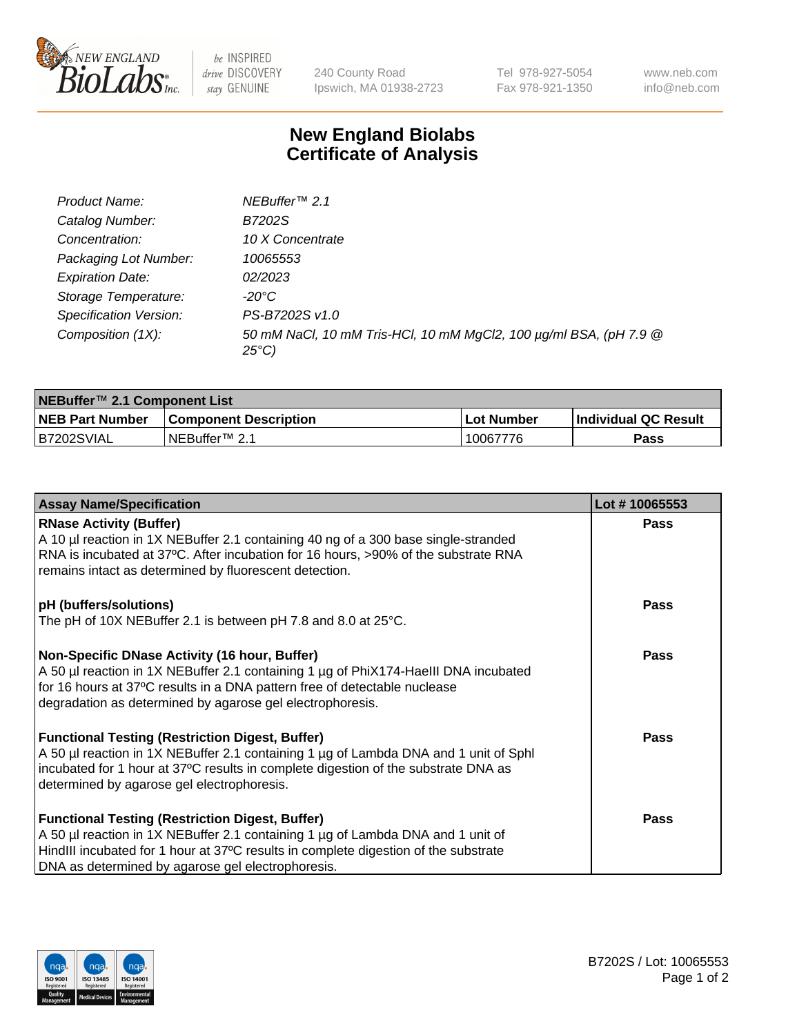

be INSPIRED drive DISCOVERY stay GENUINE

240 County Road Ipswich, MA 01938-2723 Tel 978-927-5054 Fax 978-921-1350 www.neb.com info@neb.com

## **New England Biolabs Certificate of Analysis**

| Product Name:           | NEBuffer <sup>™</sup> 2.1                                                          |
|-------------------------|------------------------------------------------------------------------------------|
| Catalog Number:         | B7202S                                                                             |
| Concentration:          | 10 X Concentrate                                                                   |
| Packaging Lot Number:   | 10065553                                                                           |
| <b>Expiration Date:</b> | 02/2023                                                                            |
| Storage Temperature:    | -20°C                                                                              |
| Specification Version:  | PS-B7202S v1.0                                                                     |
| Composition (1X):       | 50 mM NaCl, 10 mM Tris-HCl, 10 mM MgCl2, 100 µg/ml BSA, (pH 7.9 @<br>$25^{\circ}C$ |

| NEBuffer <sup>™</sup> 2.1 Component List |                              |                   |                      |  |  |
|------------------------------------------|------------------------------|-------------------|----------------------|--|--|
| <b>NEB Part Number</b>                   | <b>Component Description</b> | <b>Lot Number</b> | Individual QC Result |  |  |
| B7202SVIAL                               | NEBuffer™ 2.1                | 10067776          | <b>Pass</b>          |  |  |

| <b>Assay Name/Specification</b>                                                                                                                                                                                                                                                       | Lot #10065553 |
|---------------------------------------------------------------------------------------------------------------------------------------------------------------------------------------------------------------------------------------------------------------------------------------|---------------|
| <b>RNase Activity (Buffer)</b><br>A 10 µl reaction in 1X NEBuffer 2.1 containing 40 ng of a 300 base single-stranded<br>RNA is incubated at 37°C. After incubation for 16 hours, >90% of the substrate RNA<br>remains intact as determined by fluorescent detection.                  | <b>Pass</b>   |
| pH (buffers/solutions)<br>The pH of 10X NEBuffer 2.1 is between pH 7.8 and 8.0 at 25°C.                                                                                                                                                                                               | <b>Pass</b>   |
| Non-Specific DNase Activity (16 hour, Buffer)<br>A 50 µl reaction in 1X NEBuffer 2.1 containing 1 µg of PhiX174-HaellI DNA incubated<br>for 16 hours at 37°C results in a DNA pattern free of detectable nuclease<br>degradation as determined by agarose gel electrophoresis.        | Pass          |
| <b>Functional Testing (Restriction Digest, Buffer)</b><br>A 50 µl reaction in 1X NEBuffer 2.1 containing 1 µg of Lambda DNA and 1 unit of Sphl<br>incubated for 1 hour at 37°C results in complete digestion of the substrate DNA as<br>determined by agarose gel electrophoresis.    | <b>Pass</b>   |
| <b>Functional Testing (Restriction Digest, Buffer)</b><br>A 50 µl reaction in 1X NEBuffer 2.1 containing 1 µg of Lambda DNA and 1 unit of<br>HindIII incubated for 1 hour at 37°C results in complete digestion of the substrate<br>DNA as determined by agarose gel electrophoresis. | <b>Pass</b>   |